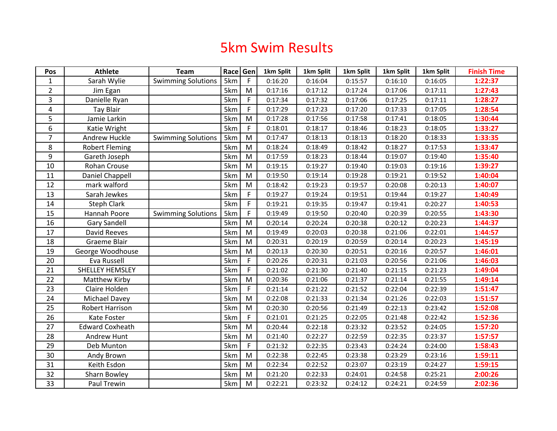## 5km Swim Results

| Pos              | <b>Athlete</b>         | <b>Team</b>               | Race Gen |             | 1km Split | 1km Split | 1km Split | 1km Split | 1km Split | <b>Finish Time</b> |
|------------------|------------------------|---------------------------|----------|-------------|-----------|-----------|-----------|-----------|-----------|--------------------|
| $\mathbf{1}$     | Sarah Wylie            | <b>Swimming Solutions</b> | 5km      | F           | 0:16:20   | 0:16:04   | 0:15:57   | 0:16:10   | 0:16:05   | 1:22:37            |
| $\overline{2}$   | Jim Egan               |                           | 5km      | ${\sf M}$   | 0:17:16   | 0:17:12   | 0:17:24   | 0:17:06   | 0:17:11   | 1:27:43            |
| 3                | Danielle Ryan          |                           | 5km      | F           | 0:17:34   | 0:17:32   | 0:17:06   | 0:17:25   | 0:17:11   | 1:28:27            |
| $\overline{4}$   | <b>Tay Blair</b>       |                           | 5km      | F           | 0:17:29   | 0:17:23   | 0:17:20   | 0:17:33   | 0:17:05   | 1:28:54            |
| 5                | Jamie Larkin           |                           | 5km      | M           | 0:17:28   | 0:17:56   | 0:17:58   | 0:17:41   | 0:18:05   | 1:30:44            |
| $\boldsymbol{6}$ | Katie Wright           |                           | 5km      | F           | 0:18:01   | 0:18:17   | 0:18:46   | 0:18:23   | 0:18:05   | 1:33:27            |
| $\overline{7}$   | Andrew Huckle          | <b>Swimming Solutions</b> | 5km      | ${\sf M}$   | 0:17:47   | 0:18:13   | 0:18:13   | 0:18:20   | 0:18:33   | 1:33:35            |
| 8                | <b>Robert Fleming</b>  |                           | 5km      | M           | 0:18:24   | 0:18:49   | 0:18:42   | 0:18:27   | 0:17:53   | 1:33:47            |
| 9                | Gareth Joseph          |                           | 5km      | M           | 0:17:59   | 0:18:23   | 0:18:44   | 0:19:07   | 0:19:40   | 1:35:40            |
| 10               | Rohan Crouse           |                           | 5km      | ${\sf M}$   | 0:19:15   | 0:19:27   | 0:19:40   | 0:19:03   | 0:19:16   | 1:39:27            |
| 11               | Daniel Chappell        |                           | 5km      | M           | 0:19:50   | 0:19:14   | 0:19:28   | 0:19:21   | 0:19:52   | 1:40:04            |
| 12               | mark walford           |                           | 5km      | M           | 0:18:42   | 0:19:23   | 0:19:57   | 0:20:08   | 0:20:13   | 1:40:07            |
| 13               | Sarah Jewkes           |                           | 5km      | F           | 0:19:27   | 0:19:24   | 0:19:51   | 0:19:44   | 0:19:27   | 1:40:49            |
| 14               | <b>Steph Clark</b>     |                           | 5km      | F           | 0:19:21   | 0:19:35   | 0:19:47   | 0:19:41   | 0:20:27   | 1:40:53            |
| 15               | Hannah Poore           | <b>Swimming Solutions</b> | 5km      | F           | 0:19:49   | 0:19:50   | 0:20:40   | 0:20:39   | 0:20:55   | 1:43:30            |
| 16               | <b>Gary Sandell</b>    |                           | 5km      | M           | 0:20:14   | 0:20:24   | 0:20:38   | 0:20:12   | 0:20:23   | 1:44:37            |
| 17               | David Reeves           |                           | 5km      | M           | 0:19:49   | 0:20:03   | 0:20:38   | 0:21:06   | 0:22:01   | 1:44:57            |
| 18               | Graeme Blair           |                           | 5km      | M           | 0:20:31   | 0:20:19   | 0:20:59   | 0:20:14   | 0:20:23   | 1:45:19            |
| 19               | George Woodhouse       |                           | 5km      | M           | 0:20:13   | 0:20:30   | 0:20:51   | 0:20:16   | 0:20:57   | 1:46:01            |
| 20               | Eva Russell            |                           | 5km      | F           | 0:20:26   | 0:20:31   | 0:21:03   | 0:20:56   | 0:21:06   | 1:46:03            |
| 21               | SHELLEY HEMSLEY        |                           | 5km      | $\mathsf F$ | 0:21:02   | 0:21:30   | 0:21:40   | 0:21:15   | 0:21:23   | 1:49:04            |
| 22               | Matthew Kirby          |                           | 5km      | M           | 0:20:36   | 0:21:06   | 0:21:37   | 0:21:14   | 0:21:55   | 1:49:14            |
| 23               | Claire Holden          |                           | 5km      | F           | 0:21:14   | 0:21:22   | 0:21:52   | 0:22:04   | 0:22:39   | 1:51:47            |
| 24               | Michael Davey          |                           | 5km      | M           | 0:22:08   | 0:21:33   | 0:21:34   | 0:21:26   | 0:22:03   | 1:51:57            |
| 25               | Robert Harrison        |                           | 5km      | M           | 0:20:30   | 0:20:56   | 0:21:49   | 0:22:13   | 0:23:42   | 1:52:08            |
| 26               | Kate Foster            |                           | 5km      | F           | 0:21:01   | 0:21:25   | 0:22:05   | 0:21:48   | 0:22:42   | 1:52:36            |
| 27               | <b>Edward Coxheath</b> |                           | 5km      | M           | 0:20:44   | 0:22:18   | 0:23:32   | 0:23:52   | 0:24:05   | 1:57:20            |
| 28               | <b>Andrew Hunt</b>     |                           | 5km      | M           | 0:21:40   | 0:22:27   | 0:22:59   | 0:22:35   | 0:23:37   | 1:57:57            |
| 29               | Deb Munton             |                           | 5km      | F           | 0:21:32   | 0:22:35   | 0:23:43   | 0:24:24   | 0:24:00   | 1:58:43            |
| 30               | Andy Brown             |                           | 5km      | M           | 0:22:38   | 0:22:45   | 0:23:38   | 0:23:29   | 0:23:16   | 1:59:11            |
| 31               | Keith Esdon            |                           | 5km      | M           | 0:22:34   | 0:22:52   | 0:23:07   | 0:23:19   | 0:24:27   | 1:59:15            |
| 32               | Sharn Bowley           |                           | 5km      | M           | 0:21:20   | 0:22:33   | 0:24:01   | 0:24:58   | 0:25:21   | 2:00:26            |
| 33               | Paul Trewin            |                           | 5km      | M           | 0:22:21   | 0:23:32   | 0:24:12   | 0:24:21   | 0:24:59   | 2:02:36            |